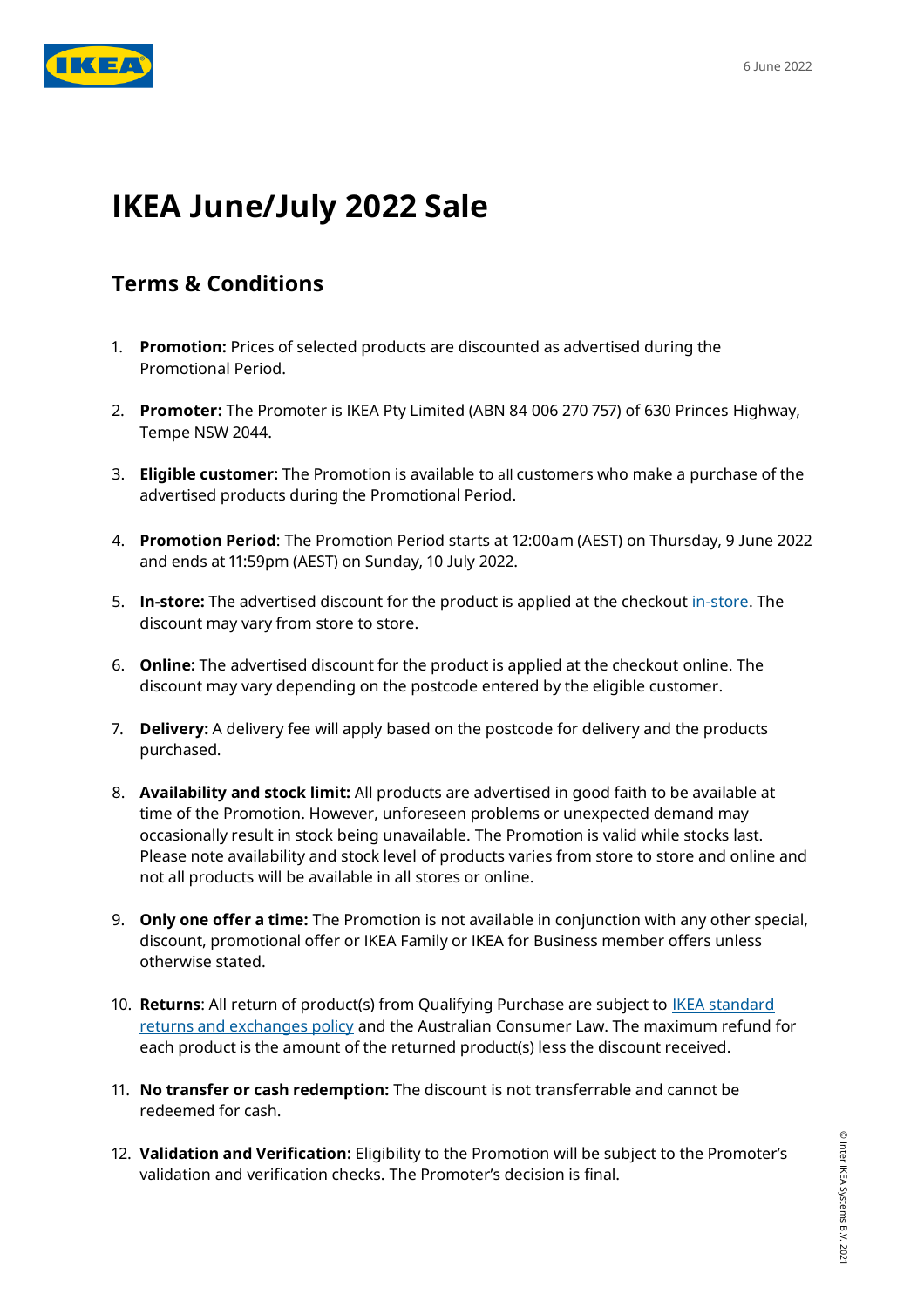

## **IKEA June/July 2022 Sale**

## **Terms & Conditions**

- 1. **Promotion:** Prices of selected products are discounted as advertised during the Promotional Period.
- 2. **Promoter:** The Promoter is IKEA Pty Limited (ABN 84 006 270 757) of 630 Princes Highway, Tempe NSW 2044.
- 3. **Eligible customer:** The Promotion is available to all customers who make a purchase of the advertised products during the Promotional Period.
- 4. **Promotion Period**: The Promotion Period starts at 12:00am (AEST) on Thursday, 9 June 2022 and ends at 11:59pm (AEST) on Sunday, 10 July 2022.
- 5. **In-store:** The advertised discount for the product is applied at the checkout [in-store.](https://www.ikea.com/au/en/stores/) The discount may vary from store to store.
- 6. **Online:** The advertised discount for the product is applied at the checkout online. The discount may vary depending on the postcode entered by the eligible customer.
- 7. **Delivery:** A delivery fee will apply based on the postcode for delivery and the products purchased.
- 8. **Availability and stock limit:** All products are advertised in good faith to be available at time of the Promotion. However, unforeseen problems or unexpected demand may occasionally result in stock being unavailable. The Promotion is valid while stocks last. Please note availability and stock level of products varies from store to store and online and not all products will be available in all stores or online.
- 9. **Only one offer a time:** The Promotion is not available in conjunction with any other special, discount, promotional offer or IKEA Family or IKEA for Business member offers unless otherwise stated.
- 10. **Returns**: All return of product(s) from Qualifying Purchase are subject to [IKEA standard](https://www.ikea.com/au/en/customer-service/terms-conditions/customer-service-and-services-pub200f61c0)  [returns and exchanges policy](https://www.ikea.com/au/en/customer-service/terms-conditions/customer-service-and-services-pub200f61c0) and the Australian Consumer Law. The maximum refund for each product is the amount of the returned product(s) less the discount received.
- 11. **No transfer or cash redemption:** The discount is not transferrable and cannot be redeemed for cash.
- 12. **Validation and Verification:** Eligibility to the Promotion will be subject to the Promoter's validation and verification checks. The Promoter's decision is final.